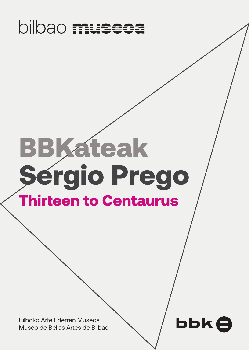## bilbao museoa

# BBKateak Sergio Prego Thirteen to Centaurus

**bbke** 

Bilboko Arte Ederren Museoa Museo de Bellas Artes de Bilbao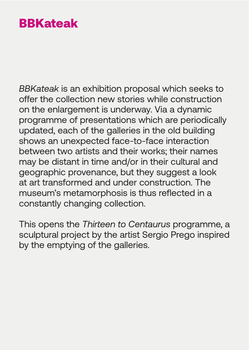#### BBKateak

*BBKateak* is an exhibition proposal which seeks to offer the collection new stories while construction on the enlargement is underway. Via a dynamic programme of presentations which are periodically updated, each of the galleries in the old building shows an unexpected face-to-face interaction between two artists and their works; their names may be distant in time and/or in their cultural and geographic provenance, but they suggest a look at art transformed and under construction. The museum's metamorphosis is thus reflected in a constantly changing collection.

This opens the *Thirteen to Centaurus* programme, a sculptural project by the artist Sergio Prego inspired by the emptying of the galleries.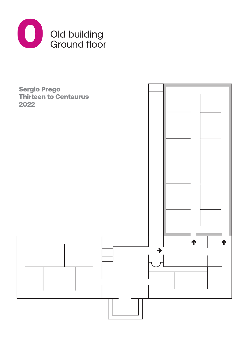

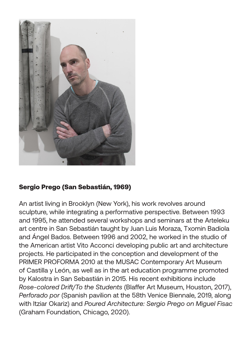

#### Sergio Prego (San Sebastián, 1969)

An artist living in Brooklyn (New York), his work revolves around sculpture, while integrating a performative perspective. Between 1993 and 1995, he attended several workshops and seminars at the Arteleku art centre in San Sebastián taught by Juan Luis Moraza, Txomin Badiola and Ángel Bados. Between 1996 and 2002, he worked in the studio of the American artist Vito Acconci developing public art and architecture projects. He participated in the conception and development of the PRIMER PROFORMA 2010 at the MUSAC Contemporary Art Museum of Castilla y León, as well as in the art education programme promoted by Kalostra in San Sebastián in 2015. His recent exhibitions include *Rose-colored Drift/To the Students* (Blaffer Art Museum, Houston, 2017), *Perforado por* (Spanish pavilion at the 58th Venice Biennale, 2019, along with Itziar Okariz) and *Poured Architecture: Sergio Prego on Miguel Fisac* (Graham Foundation, Chicago, 2020).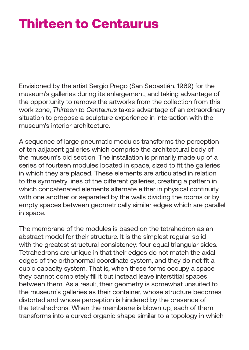### Thirteen to Centaurus

Envisioned by the artist Sergio Prego (San Sebastián, 1969) for the museum's galleries during its enlargement, and taking advantage of the opportunity to remove the artworks from the collection from this work zone, *Thirteen to Centaurus* takes advantage of an extraordinary situation to propose a sculpture experience in interaction with the museum's interior architecture.

A sequence of large pneumatic modules transforms the perception of ten adjacent galleries which comprise the architectural body of the museum's old section. The installation is primarily made up of a series of fourteen modules located in space, sized to fit the galleries in which they are placed. These elements are articulated in relation to the symmetry lines of the different galleries, creating a pattern in which concatenated elements alternate either in physical continuity with one another or separated by the walls dividing the rooms or by empty spaces between geometrically similar edges which are parallel in space.

The membrane of the modules is based on the tetrahedron as an abstract model for their structure. It is the simplest regular solid with the greatest structural consistency: four equal triangular sides. Tetrahedrons are unique in that their edges do not match the axial edges of the orthonormal coordinate system, and they do not fit a cubic capacity system. That is, when these forms occupy a space they cannot completely fill it but instead leave interstitial spaces between them. As a result, their geometry is somewhat unsuited to the museum's galleries as their container, whose structure becomes distorted and whose perception is hindered by the presence of the tetrahedrons. When the membrane is blown up, each of them transforms into a curved organic shape similar to a topology in which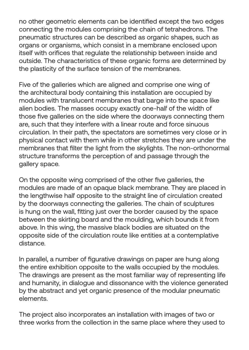no other geometric elements can be identified except the two edges connecting the modules comprising the chain of tetrahedrons. The pneumatic structures can be described as organic shapes, such as organs or organisms, which consist in a membrane enclosed upon itself with orifices that regulate the relationship between inside and outside. The characteristics of these organic forms are determined by the plasticity of the surface tension of the membranes.

Five of the galleries which are aligned and comprise one wing of the architectural body containing this installation are occupied by modules with translucent membranes that barge into the space like alien bodies. The masses occupy exactly one-half of the width of those five galleries on the side where the doorways connecting them are, such that they interfere with a linear route and force sinuous circulation. In their path, the spectators are sometimes very close or in physical contact with them while in other stretches they are under the membranes that filter the light from the skylights. The non-orthonormal structure transforms the perception of and passage through the gallery space.

On the opposite wing comprised of the other five galleries, the modules are made of an opaque black membrane. They are placed in the lengthwise half opposite to the straight line of circulation created by the doorways connecting the galleries. The chain of sculptures is hung on the wall, fitting just over the border caused by the space between the skirting board and the moulding, which bounds it from above. In this wing, the massive black bodies are situated on the opposite side of the circulation route like entities at a contemplative distance.

In parallel, a number of figurative drawings on paper are hung along the entire exhibition opposite to the walls occupied by the modules. The drawings are present as the most familiar way of representing life and humanity, in dialogue and dissonance with the violence generated by the abstract and yet organic presence of the modular pneumatic elements.

The project also incorporates an installation with images of two or three works from the collection in the same place where they used to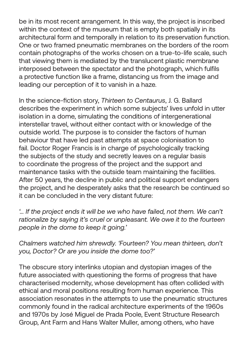be in its most recent arrangement. In this way, the project is inscribed within the context of the museum that is empty both spatially in its architectural form and temporally in relation to its preservation function. One or two framed pneumatic membranes on the borders of the room contain photographs of the works chosen on a true-to-life scale, such that viewing them is mediated by the translucent plastic membrane interposed between the spectator and the photograph, which fulfils a protective function like a frame, distancing us from the image and leading our perception of it to vanish in a haze.

In the science-fiction story, *Thirteen to Centaurus*, J. G. Ballard describes the experiment in which some subjects' lives unfold in utter isolation in a dome, simulating the conditions of intergenerational interstellar travel, without either contact with or knowledge of the outside world. The purpose is to consider the factors of human behaviour that have led past attempts at space colonisation to fail. Doctor Roger Francis is in charge of psychologically tracking the subjects of the study and secretly leaves on a regular basis to coordinate the progress of the project and the support and maintenance tasks with the outside team maintaining the facilities. After 50 years, the decline in public and political support endangers the project, and he desperately asks that the research be continued so it can be concluded in the very distant future:

*'… If the project ends it will be we who have failed, not them. We can't rationalize by saying it's cruel or unpleasant. We owe it to the fourteen people in the dome to keep it going.'* 

*Chalmers watched him shrewdly. 'Fourteen? You mean thirteen, don't you, Doctor? Or are you inside the dome too?'* 

The obscure story interlinks utopian and dystopian images of the future associated with questioning the forms of progress that have characterised modernity, whose development has often collided with ethical and moral positions resulting from human experience. This association resonates in the attempts to use the pneumatic structures commonly found in the radical architecture experiments of the 1960s and 1970s by José Miguel de Prada Poole, Event Structure Research Group, Ant Farm and Hans Walter Muller, among others, who have